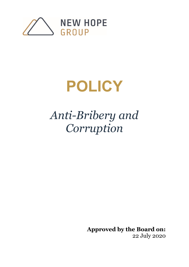

# **POLICY**

## *Anti-Bribery and Corruption*

**Approved by the Board on:** 22 July 2020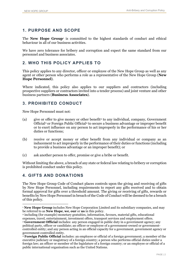#### **1. PURPOSE AND SCOPE**

The **New Hope Group**[1](#page-1-0) is committed to the highest standards of conduct and ethical behaviour in all of our business activities.

We have zero tolerance for bribery and corruption and expect the same standard from our personnel and business associates.

#### **2. WHO THIS POLICY APPLIES TO**

This policy applies to any director, officer or employee of the New Hope Group as well as any agent or other person who performs a role as a representative of the New Hope Group (**New Hope Personnel**).

Where indicated, this policy also applies to our suppliers and contractors (including prospective suppliers or contractors invited into a tender process) and joint venture and other business partners (**Business Associates**).

#### **3. PROHIBITED CONDUCT**

New Hope Personnel must not:

- (a) give or offer to give money or other benefit<sup>[2](#page-1-1)</sup> to any individual, company, Government Official[3](#page-1-2) or Foreign Public Official[4](#page-1-3) to secure a business advantage or improper benefit or to exert influence on any person to act improperly in the performance of his or her duties or functions;
- (b) receive or accept money or other benefit from any individual or company as an inducement to act improperly in the performance of their duties or functions (including to provide a business advantage or an improper benefit); or
- (c) ask another person to offer, promise or give a bribe or benefit.

Without limiting the above, a breach of any state or federal law relating to bribery or corruption is prohibited conduct under this policy.

#### **4. GIFTS AND DONATIONS**

The New Hope Group Code of Conduct places controls upon the giving and receiving of gifts by New Hope Personnel, including requirements to report any gifts received and to obtain formal approval for gifts over a threshold amount. The giving or receiving of gifts, rewards or benefits by New Hope Personnel in breach of the Code of Conduct will be deemed to be a breach of this policy.

<span id="page-1-1"></span><sup>2</sup> including (for example) monetary gratuities, information, favours, material gifts, educational expenses, travel, entertainment, investment offers, transport services and employment offers.

<span id="page-1-0"></span><sup>&</sup>lt;sup>1</sup> **New Hope Group** includes New Hope Corporation Limited and its subsidiary companies, and may be referred to as **New Hope, we, our** or **us** in this policy.

<span id="page-1-2"></span><sup>3</sup> **Government Official** includes: any person engaged in public duty in a government agency; any political party, officer or candidate; an officer or employee of a government-owned or governmentcontrolled entity; and any person acting in an official capacity for a government, government agency or government-controlled entity.

<span id="page-1-3"></span><sup>4</sup> **Foreign Public Official** includes: an employee or official of a foreign government; a member of the executive judiciary or magistracy of a foreign country; a person who performs official duties under a foreign law; an officer or member of the legislature of a foreign country; or an employee or official of a public international organisation such as the United Nations.